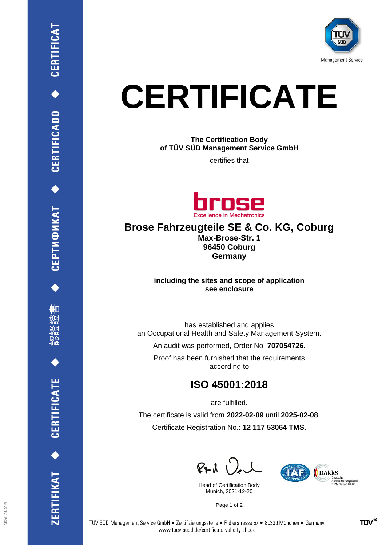

# **CERTIFICATE**

**The Certification Body of TÜV SÜD Management Service GmbH**

certifies that



## **Brose Fahrzeugteile SE & Co. KG, Coburg**

**Max-Brose-Str. 1 96450 Coburg Germany**

**including the sites and scope of application see enclosure**

has established and applies an Occupational Health and Safety Management System.

An audit was performed, Order No. **707054726**.

Proof has been furnished that the requirements according to

## **ISO 45001:2018**

are fulfilled.

The certificate is valid from **2022-02-09** until **2025-02-08**. Certificate Registration No.: **12 117 53064 TMS**.

 $P + U$ 

Head of Certification Body Munich, 2021-12-20



Page 1 of 2

CEPTИФИКАТ ◆ CERTIFICADO ◆ CERTIFICAT

删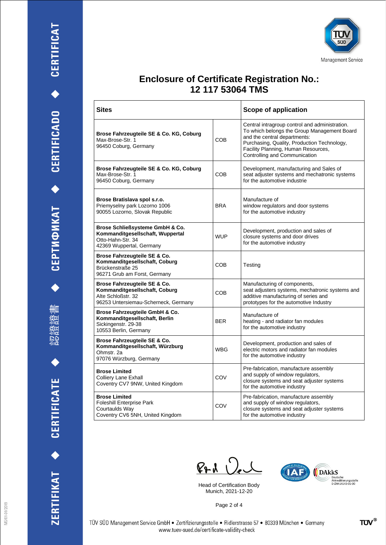





### **Enclosure of Certificate Registration No.: 12 117 53064 TMS**

| <b>Sites</b>                                                                                                                |            | <b>Scope of application</b>                                                                                                                                                                                                                          |
|-----------------------------------------------------------------------------------------------------------------------------|------------|------------------------------------------------------------------------------------------------------------------------------------------------------------------------------------------------------------------------------------------------------|
| Brose Fahrzeugteile SE & Co. KG, Coburg<br>Max-Brose-Str. 1<br>96450 Coburg, Germany                                        | COB        | Central intragroup control and administration.<br>To which belongs the Group Management Board<br>and the central departments:<br>Purchasing, Quality, Production Technology,<br>Facility Planning, Human Resources,<br>Controlling and Communication |
| Brose Fahrzeugteile SE & Co. KG, Coburg<br>Max-Brose-Str. 1<br>96450 Coburg, Germany                                        | COB        | Development, manufacturing and Sales of<br>seat adjuster systems and mechatronic systems<br>for the automotive industrie                                                                                                                             |
| Brose Bratislava spol s.r.o.<br>Priemyselny park Lozorno 1006<br>90055 Lozorno, Slovak Republic                             | <b>BRA</b> | Manufacture of<br>window regulators and door systems<br>for the automotive industry                                                                                                                                                                  |
| Brose Schließsysteme GmbH & Co.<br>Kommanditgesellschaft, Wuppertal<br>Otto-Hahn-Str. 34<br>42369 Wuppertal, Germany        | <b>WUP</b> | Development, production and sales of<br>closure systems and door drives<br>for the automotive industry                                                                                                                                               |
| Brose Fahrzeugteile SE & Co.<br>Kommanditgesellschaft, Coburg<br>Brückenstraße 25<br>96271 Grub am Forst, Germany           | <b>COB</b> | Testing                                                                                                                                                                                                                                              |
| Brose Fahrzeugteile SE & Co.<br>Kommanditgesellschaft, Coburg<br>Alte Schloßstr. 32<br>96253 Untersiemau-Scherneck, Germany | <b>COB</b> | Manufacturing of components,<br>seat adjusters systems, mechatronic systems and<br>additive manufacturing of series and<br>prototypes for the automotive Industry                                                                                    |
| Brose Fahrzeugteile GmbH & Co.<br>Kommanditgesellschaft, Berlin<br>Sickingenstr. 29-38<br>10553 Berlin, Germany             | <b>BER</b> | Manufacture of<br>heating - and radiator fan modules<br>for the automotive industry                                                                                                                                                                  |
| Brose Fahrzeugteile SE & Co.<br>Kommanditgesellschaft, Würzburg<br>Ohmstr. 2a<br>97076 Würzburg, Germany                    | <b>WBG</b> | Development, production and sales of<br>electric motors and radiator fan modules<br>for the automotive industry                                                                                                                                      |
| <b>Brose Limited</b><br>Colliery Lane Exhall<br>Coventry CV7 9NW, United Kingdom                                            | COV        | Pre-fabrication, manufacture assembly<br>and supply of window regulators,<br>closure systems and seat adjuster systems<br>for the automotive industry                                                                                                |
| <b>Brose Limited</b><br><b>Foleshill Enterprise Park</b><br>Courtaulds Way<br>Coventry CV6 5NH, United Kingdom              | COV        | Pre-fabrication, manufacture assembly<br>and supply of window regulators,<br>closure systems and seat adjuster systems<br>for the automotive industry                                                                                                |

 $PAU$ 

Head of Certification Body Munich, 2021-12-20



Page 2 of 4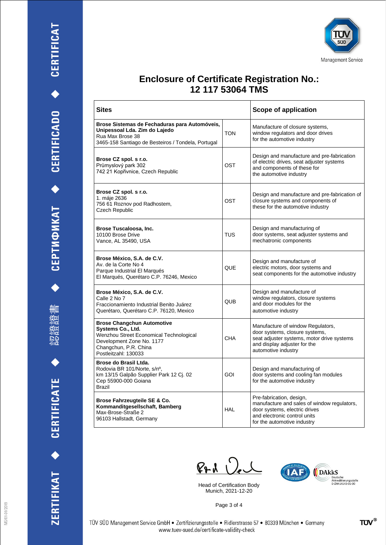





#### **Enclosure of Certificate Registration No.: 12 117 53064 TMS**

| <b>Sites</b>                                                                                                                                                                    |            | <b>Scope of application</b>                                                                                                                                              |
|---------------------------------------------------------------------------------------------------------------------------------------------------------------------------------|------------|--------------------------------------------------------------------------------------------------------------------------------------------------------------------------|
| Brose Sistemas de Fechaduras para Automóveis,<br>Unipessoal Lda. Zim do Lajedo<br>Rua Max Brose 38<br>3465-158 Santiago de Besteiros / Tondela, Portugal                        | <b>TON</b> | Manufacture of closure systems,<br>window regulators and door drives<br>for the automotive industry                                                                      |
| Brose CZ spol. s r.o.<br>Průmyslový park 302<br>742 21 Kopřivnice, Czech Republic                                                                                               | OST        | Design and manufacture and pre-fabrication<br>of electric drives, seat adjuster systems<br>and components of these for<br>the automotive industry                        |
| Brose CZ spol. s r.o.<br>1. máje 2636<br>756 61 Roznov pod Radhostem,<br>Czech Republic                                                                                         | OST        | Design and manufacture and pre-fabrication of<br>closure systems and components of<br>these for the automotive industry                                                  |
| Brose Tuscaloosa, Inc.<br>10100 Brose Drive<br>Vance, AL 35490, USA                                                                                                             | <b>TUS</b> | Design and manufacturing of<br>door systems, seat adjuster systems and<br>mechatronic components                                                                         |
| Brose México, S.A. de C.V.<br>Av. de la Corte No 4<br>Parque Industrial El Marqués<br>El Marqués, Querétaro C.P. 76246, Mexico                                                  | QUE        | Design and manufacture of<br>electric motors, door systems and<br>seat components for the automotive industry                                                            |
| Brose México, S.A. de C.V.<br>Calle 2 No 7<br>Fraccionamiento Industrial Benito Juárez<br>Querétaro, Querétaro C.P. 76120, Mexico                                               | <b>QUB</b> | Design and manufacture of<br>window regulators, closure systems<br>and door modules for the<br>automotive industry                                                       |
| <b>Brose Changchun Automotive</b><br>Systems Co., Ltd.<br>Wenzhou Street Economical Technological<br>Development Zone No. 1177<br>Changchun, P.R. China<br>Postleitzahl: 130033 | <b>CHA</b> | Manufacture of window Regulators,<br>door systems, closure systems,<br>seat adjuster systems, motor drive systems<br>and display adjuster for the<br>automotive industry |
| Brose do Brasil Ltda.<br>Rodovia BR 101/Norte, s/nº,<br>km 13/15 Galpão Supplier Park 12 Cj. 02<br>Cep 55900-000 Goiana<br>Brazil                                               | GOI        | Design and manufacturing of<br>door systems and cooling fan modules<br>for the automotive industry                                                                       |
| Brose Fahrzeugteile SE & Co.<br>Kommanditgesellschaft, Bamberg<br>Max-Brose-Straße 2<br>96103 Hallstadt, Germany                                                                | <b>HAL</b> | Pre-fabrication, design,<br>manufacture and sales of window regulators,<br>door systems, electric drives<br>and electronic control units<br>for the automotive industry  |

 $PAU$ 

Head of Certification Body Munich, 2021-12-20



Page 3 of 4